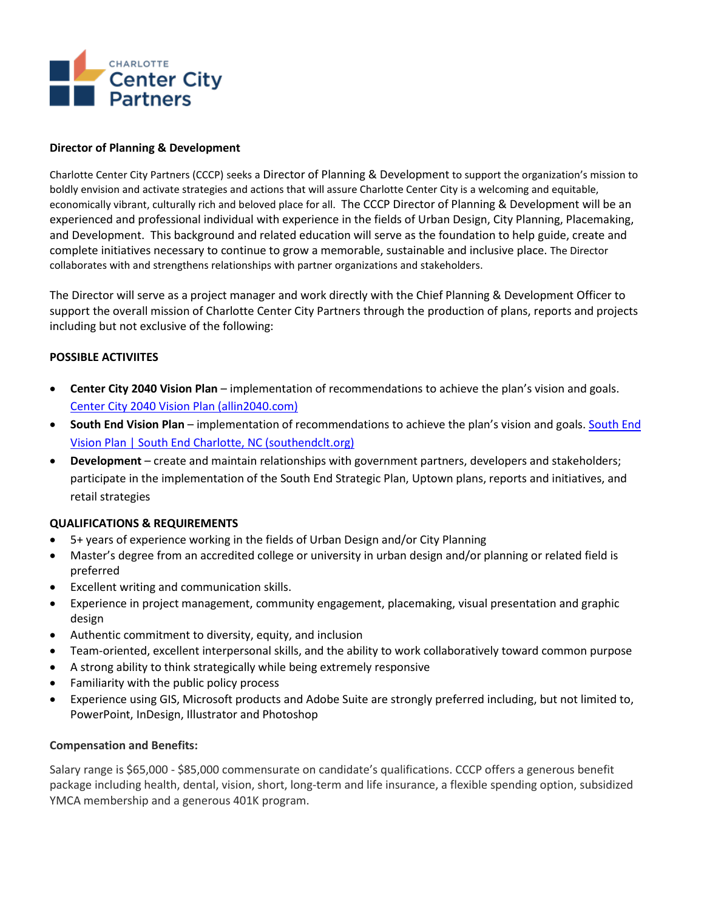

#### **Director of Planning & Development**

Charlotte Center City Partners (CCCP) seeks a Director of Planning & Development to support the organization's mission to boldly envision and activate strategies and actions that will assure Charlotte Center City is a welcoming and equitable, economically vibrant, culturally rich and beloved place for all. The CCCP Director of Planning & Development will be an experienced and professional individual with experience in the fields of Urban Design, City Planning, Placemaking, and Development. This background and related education will serve as the foundation to help guide, create and complete initiatives necessary to continue to grow a memorable, sustainable and inclusive place. The Director collaborates with and strengthens relationships with partner organizations and stakeholders.

The Director will serve as a project manager and work directly with the Chief Planning & Development Officer to support the overall mission of Charlotte Center City Partners through the production of plans, reports and projects including but not exclusive of the following:

### **POSSIBLE ACTIVIITES**

- **Center City 2040 Vision Plan** implementation of recommendations to achieve the plan's vision and goals. [Center City 2040 Vision Plan \(allin2040.com\)](https://www.allin2040.com/)
- **South End Vision Plan** implementation of recommendations to achieve the plan's vision and goals. [South End](https://southendclt.org/business/south-end-vision-plan)  [Vision Plan | South End Charlotte, NC \(southendclt.org\)](https://southendclt.org/business/south-end-vision-plan)
- **Development**  create and maintain relationships with government partners, developers and stakeholders; participate in the implementation of the South End Strategic Plan, Uptown plans, reports and initiatives, and retail strategies

### **QUALIFICATIONS & REQUIREMENTS**

- 5+ years of experience working in the fields of Urban Design and/or City Planning
- Master's degree from an accredited college or university in urban design and/or planning or related field is preferred
- Excellent writing and communication skills.
- Experience in project management, community engagement, placemaking, visual presentation and graphic design
- Authentic commitment to diversity, equity, and inclusion
- Team-oriented, excellent interpersonal skills, and the ability to work collaboratively toward common purpose
- A strong ability to think strategically while being extremely responsive
- Familiarity with the public policy process
- Experience using GIS, Microsoft products and Adobe Suite are strongly preferred including, but not limited to, PowerPoint, InDesign, Illustrator and Photoshop

### **Compensation and Benefits:**

Salary range is \$65,000 - \$85,000 commensurate on candidate's qualifications. CCCP offers a generous benefit package including health, dental, vision, short, long-term and life insurance, a flexible spending option, subsidized YMCA membership and a generous 401K program.